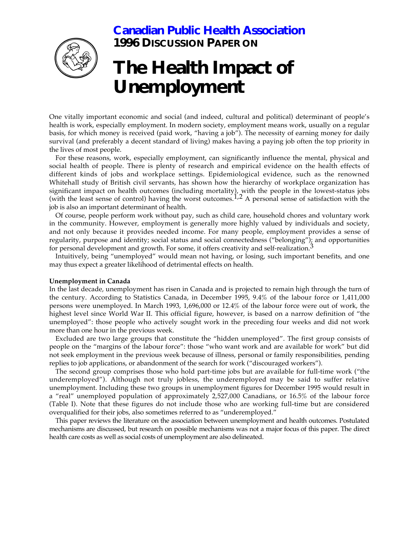## **[Canadian Public Health Association](http://www.cpha.ca/english/index.htm) 1996 DISCUSSION PAPER ON**



# **The Health Impact of Unemployment**

One vitally important economic and social (and indeed, cultural and political) determinant of people's health is work, especially employment. In modern society, employment means work, usually on a regular basis, for which money is received (paid work, "having a job"). The necessity of earning money for daily survival (and preferably a decent standard of living) makes having a paying job often the top priority in the lives of most people.

For these reasons, work, especially employment, can significantly influence the mental, physical and social health of people. There is plenty of research and empirical evidence on the health effects of different kinds of jobs and workplace settings. Epidemiological evidence, such as the renowned Whitehall study of British civil servants, has shown how the hierarchy of workplace organization has significant impact on health outcomes (including mortality), with the people in the lowest-status jobs (with the least sense of control) having the worst outcomes.<sup>1,2</sup> A personal sense of satisfaction with the job is also an important determinant of health.

Of course, people perform work without pay, such as child care, household chores and voluntary work in the community. However, employment is generally more highly valued by individuals and society, and not only because it provides needed income. For many people, employment provides a sense of regularity, purpose and identity; social status and social connectedness ("belonging"); and opportunities for personal development and growth. For some, it offers creativity and self-realization.<sup>3</sup>

Intuitively, being "unemployed" would mean not having, or losing, such important benefits, and one may thus expect a greater likelihood of detrimental effects on health.

#### **Unemployment in Canada**

In the last decade, unemployment has risen in Canada and is projected to remain high through the turn of the century. According to Statistics Canada, in December 1995, 9.4% of the labour force or 1,411,000 persons were unemployed. In March 1993, 1,696,000 or 12.4% of the labour force were out of work, the highest level since World War II. This official figure, however, is based on a narrow definition of "the unemployed": those people who actively sought work in the preceding four weeks and did not work more than one hour in the previous week.

Excluded are two large groups that constitute the "hidden unemployed". The first group consists of people on the "margins of the labour force": those "who want work and are available for work" but did not seek employment in the previous week because of illness, personal or family responsibilities, pending replies to job applications, or abandonment of the search for work ("discouraged workers").

The second group comprises those who hold part-time jobs but are available for full-time work ("the underemployed"). Although not truly jobless, the underemployed may be said to suffer relative unemployment. Including these two groups in unemployment figures for December 1995 would result in a "real" unemployed population of approximately 2,527,000 Canadians, or 16.5% of the labour force (Table I). Note that these figures do not include those who are working full-time but are considered overqualified for their jobs, also sometimes referred to as "underemployed."

This paper reviews the literature on the association between unemployment and health outcomes. Postulated mechanisms are discussed, but research on possible mechanisms was not a major focus of this paper. The direct health care costs as well as social costs of unemployment are also delineated.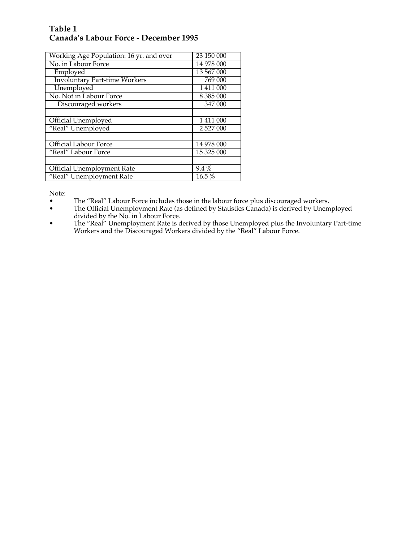## **Table 1 Canada's Labour Force - December 1995**

| Working Age Population: 16 yr. and over | 23 150 000    |
|-----------------------------------------|---------------|
| No. in Labour Force                     | 14 978 000    |
| Employed                                | 13 567 000    |
| <b>Involuntary Part-time Workers</b>    | 769 000       |
| Unemployed                              | 1 411 000     |
| No. Not in Labour Force                 | 8 3 8 5 0 0 0 |
| Discouraged workers                     | 347 000       |
|                                         |               |
| Official Unemployed                     | 1 411 000     |
| "Real" Unemployed                       | 2 527 000     |
|                                         |               |
| Official Labour Force                   | 14 978 000    |
| "Real" Labour Force                     | 15 325 000    |
|                                         |               |
| Official Unemployment Rate              | $9.4\%$       |
| "Real" Unemployment Rate                | 16.5%         |

Note:

- The "Real" Labour Force includes those in the labour force plus discouraged workers.
- The Official Unemployment Rate (as defined by Statistics Canada) is derived by Unemployed divided by the No. in Labour Force.
- The "Real" Unemployment Rate is derived by those Unemployed plus the Involuntary Part-time Workers and the Discouraged Workers divided by the "Real" Labour Force.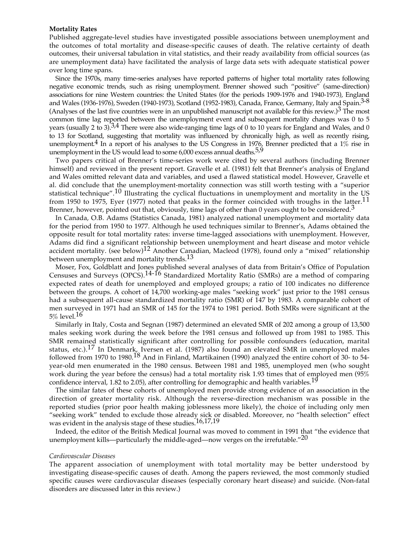#### **Mortality Rates**

Published aggregate-level studies have investigated possible associations between unemployment and the outcomes of total mortality and disease-specific causes of death. The relative certainty of death outcomes, their universal tabulation in vital statistics, and their ready availability from official sources (as are unemployment data) have facilitated the analysis of large data sets with adequate statistical power over long time spans.

Since the 1970s, many time-series analyses have reported patterns of higher total mortality rates following negative economic trends, such as rising unemployment. Brenner showed such "positive" (same-direction) associations for nine Western countries: the United States (for the periods 1909-1976 and 1940-1973), England and Wales (1936-1976), Sweden (1940-1973), Scotland (1952-1983), Canada, France, Germany, Italy and Spain.3-8 (Analyses of the last five countries were in an unpublished manuscript not available for this review.) $3$  The most common time lag reported between the unemployment event and subsequent mortality changes was 0 to 5 years (usually 2 to 3).<sup>3,4</sup> There were also wide-ranging time lags of 0 to 10 years for England and Wales, and 0 to 13 for Scotland, suggesting that mortality was influenced by chronically high, as well as recently rising, unemployment.<sup>4</sup> In a report of his analyses to the US Congress in 1976, Brenner predicted that a  $1\%$  rise in unemployment in the US would lead to some  $6,000$  excess annual deaths.<sup>5,9</sup>

Two papers critical of Brenner's time-series work were cited by several authors (including Brenner himself) and reviewed in the present report. Gravelle et al. (1981) felt that Brenner's analysis of England and Wales omitted relevant data and variables, and used a flawed statistical model. However, Gravelle et al. did conclude that the unemployment-mortality connection was still worth testing with a "superior statistical technique".10 Illustrating the cyclical fluctuations in unemployment and mortality in the US from 1950 to 1975, Eyer (1977) noted that peaks in the former coincided with troughs in the latter.<sup>11</sup> Brenner, however, pointed out that, obviously, time lags of other than 0 years ought to be considered.<sup>3</sup>

In Canada, O.B. Adams (Statistics Canada, 1981) analyzed national unemployment and mortality data for the period from 1950 to 1977. Although he used techniques similar to Brenner's, Adams obtained the opposite result for total mortality rates: inverse time-lagged associations with unemployment. However, Adams did find a significant relationship between unemployment and heart disease and motor vehicle accident mortality. (see below)<sup>12</sup> Another Canadian, Macleod (1978), found only a "mixed" relationship between unemployment and mortality trends.<sup>13</sup>

Moser, Fox, Goldblatt and Jones published several analyses of data from Britain's Office of Population Censuses and Surveys (OPCS).14-16 Standardized Mortality Ratio (SMRs) are a method of comparing expected rates of death for unemployed and employed groups; a ratio of 100 indicates no difference between the groups. A cohort of 14,700 working-age males "seeking work" just prior to the 1981 census had a subsequent all-cause standardized mortality ratio (SMR) of 147 by 1983. A comparable cohort of men surveyed in 1971 had an SMR of 145 for the 1974 to 1981 period. Both SMRs were significant at the  $5\%$  level.<sup>16</sup>

Similarly in Italy, Costa and Segnan (1987) determined an elevated SMR of 202 among a group of 13,500 males seeking work during the week before the 1981 census and followed up from 1981 to 1985. This SMR remained statistically significant after controlling for possible confounders (education, marital status, etc.).<sup>17</sup> In Denmark, Iversen et al. (1987) also found an elevated SMR in unemployed males followed from 1970 to 1980.<sup>18</sup> And in Finland, Martikainen (1990) analyzed the entire cohort of 30- to 54year-old men enumerated in the 1980 census. Between 1981 and 1985, unemployed men (who sought work during the year before the census) had a total mortality risk 1.93 times that of employed men (95% confidence interval, 1.82 to 2.05), after controlling for demographic and health variables.<sup>19</sup>

The similar fates of these cohorts of unemployed men provide strong evidence of an association in the direction of greater mortality risk. Although the reverse-direction mechanism was possible in the reported studies (prior poor health making joblessness more likely), the choice of including only men "seeking work" tended to exclude those already sick or disabled. Moreover, no "health selection" effect was evident in the analysis stage of these studies.<sup>16,17,19</sup>

Indeed, the editor of the British Medical Journal was moved to comment in 1991 that "the evidence that unemployment kills—particularly the middle-aged—now verges on the irrefutable. $"^{20}$ 

#### *Cardiovascular Diseases*

The apparent association of unemployment with total mortality may be better understood by investigating disease-specific causes of death. Among the papers reviewed, the most commonly studied specific causes were cardiovascular diseases (especially coronary heart disease) and suicide. (Non-fatal disorders are discussed later in this review.)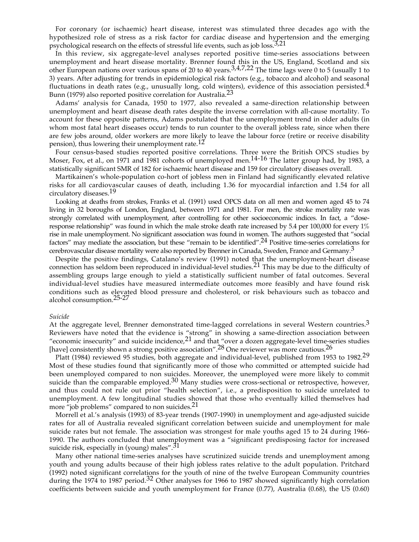For coronary (or ischaemic) heart disease, interest was stimulated three decades ago with the hypothesized role of stress as a risk factor for cardiac disease and hypertension and the emerging psychological research on the effects of stressful life events, such as job loss. $3,21$ 

In this review, six aggregate-level analyses reported positive time-series associations between unemployment and heart disease mortality. Brenner found this in the US, England, Scotland and six other European nations over various spans of 20 to 40 years.  $3.477.22$  The time lags were 0 to 5 (usually 1 to 3) years. After adjusting for trends in epidemiological risk factors (e.g., tobacco and alcohol) and seasonal fluctuations in death rates (e.g., unusually long, cold winters), evidence of this association persisted. $4$ Bunn (1979) also reported positive correlation for Australia.<sup>23</sup>

Adams' analysis for Canada, 1950 to 1977, also revealed a same-direction relationship between unemployment and heart disease death rates despite the inverse correlation with all-cause mortality. To account for these opposite patterns, Adams postulated that the unemployment trend in older adults (in whom most fatal heart diseases occur) tends to run counter to the overall jobless rate, since when there are few jobs around, older workers are more likely to leave the labour force (retire or receive disability pension), thus lowering their unemployment rate.<sup>12</sup>

Four census-based studies reported positive correlations. Three were the British OPCS studies by Moser, Fox, et al., on 1971 and 1981 cohorts of unemployed men.<sup>14-16</sup> The latter group had, by 1983, a statistically significant SMR of 182 for ischaemic heart disease and 159 for circulatory diseases overall.

Martikainen's whole-population co-hort of jobless men in Finland had significantly elevated relative risks for all cardiovascular causes of death, including 1.36 for myocardial infarction and 1.54 for all circulatory diseases.19

Looking at deaths from strokes, Franks et al. (1991) used OPCS data on all men and women aged 45 to 74 living in 32 boroughs of London, England, between 1971 and 1981. For men, the stroke mortality rate was strongly correlated with unemployment, after controlling for other socioeconomic indices. In fact, a "doseresponse relationship" was found in which the male stroke death rate increased by 5.4 per 100,000 for every 1% rise in male unemployment. No significant association was found in women. The authors suggested that "social factors" may mediate the association, but these "remain to be identified".24 Positive time-series correlations for cerebrovascular disease mortality were also reported by Brenner in Canada, Sweden, France and Germany.3

Despite the positive findings, Catalano's review (1991) noted that the unemployment-heart disease connection has seldom been reproduced in individual-level studies.21 This may be due to the difficulty of assembling groups large enough to yield a statistically sufficient number of fatal outcomes. Several individual-level studies have measured intermediate outcomes more feasibly and have found risk conditions such as elevated blood pressure and cholesterol, or risk behaviours such as tobacco and alcohol consumption.25-27

#### *Suicide*

At the aggregate level, Brenner demonstrated time-lagged correlations in several Western countries.<sup>3</sup> Reviewers have noted that the evidence is "strong" in showing a same-direction association between "economic insecurity" and suicide incidence,  $21$  and that "over a dozen aggregate-level time-series studies [have] consistently shown a strong positive association".<sup>28</sup> One reviewer was more cautious.<sup>26</sup>

Platt (1984) reviewed 95 studies, both aggregate and individual-level, published from 1953 to 1982.<sup>29</sup> Most of these studies found that significantly more of those who committed or attempted suicide had been unemployed compared to non suicides. Moreover, the unemployed were more likely to commit suicide than the comparable employed.<sup>30</sup> Many studies were cross-sectional or retrospective, however, and thus could not rule out prior "health selection", i.e., a predisposition to suicide unrelated to unemployment. A few longitudinal studies showed that those who eventually killed themselves had more "job problems" compared to non suicides.<sup>21</sup>

Morrell et al.'s analysis (1993) of 83-year trends (1907-1990) in unemployment and age-adjusted suicide rates for all of Australia revealed significant correlation between suicide and unemployment for male suicide rates but not female. The association was strongest for male youths aged 15 to 24 during 1966- 1990. The authors concluded that unemployment was a "significant predisposing factor for increased suicide risk, especially in (young) males".<sup>31</sup>

Many other national time-series analyses have scrutinized suicide trends and unemployment among youth and young adults because of their high jobless rates relative to the adult population. Pritchard (1992) noted significant correlations for the youth of nine of the twelve European Community countries during the 1974 to 1987 period.<sup>32</sup> Other analyses for 1966 to 1987 showed significantly high correlation coefficients between suicide and youth unemployment for France (0.77), Australia (0.68), the US (0.60)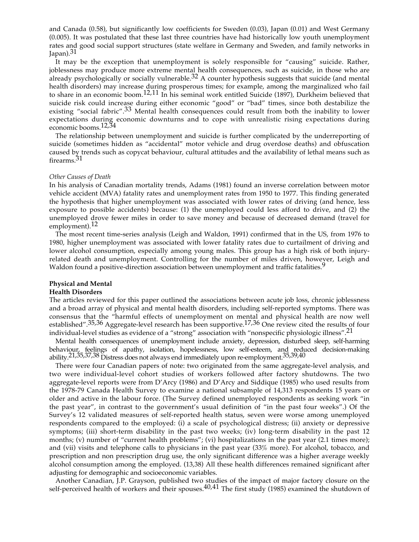and Canada (0.58), but significantly low coefficients for Sweden (0.03), Japan (0.01) and West Germany (0.005). It was postulated that these last three countries have had historically low youth unemployment rates and good social support structures (state welfare in Germany and Sweden, and family networks in Japan).31

It may be the exception that unemployment is solely responsible for "causing" suicide. Rather, joblessness may produce more extreme mental health consequences, such as suicide, in those who are already psychologically or socially vulnerable.<sup>32</sup> A counter hypothesis suggests that suicide (and mental health disorders) may increase during prosperous times; for example, among the marginalized who fail to share in an economic boom.12,11 In his seminal work entitled Suicide (1897), Durkheim believed that suicide risk could increase during either economic "good" or "bad" times, since both destabilize the existing "social fabric".<sup>33</sup> Mental health consequences could result from both the inability to lower expectations during economic downturns and to cope with unrealistic rising expectations during economic booms.12,34

The relationship between unemployment and suicide is further complicated by the underreporting of suicide (sometimes hidden as "accidental" motor vehicle and drug overdose deaths) and obfuscation caused by trends such as copycat behaviour, cultural attitudes and the availability of lethal means such as firearms.31

#### *Other Causes of Death*

In his analysis of Canadian mortality trends, Adams (1981) found an inverse correlation between motor vehicle accident (MVA) fatality rates and unemployment rates from 1950 to 1977. This finding generated the hypothesis that higher unemployment was associated with lower rates of driving (and hence, less exposure to possible accidents) because: (1) the unemployed could less afford to drive, and (2) the unemployed drove fewer miles in order to save money and because of decreased demand (travel for employment).<sup>12</sup>

The most recent time-series analysis (Leigh and Waldon, 1991) confirmed that in the US, from 1976 to 1980, higher unemployment was associated with lower fatality rates due to curtailment of driving and lower alcohol consumption, especially among young males. This group has a high risk of both injuryrelated death and unemployment. Controlling for the number of miles driven, however, Leigh and Waldon found a positive-direction association between unemployment and traffic fatalities.<sup>9</sup>

#### **Physical and Mental**

#### **Health Disorders**

The articles reviewed for this paper outlined the associations between acute job loss, chronic joblessness and a broad array of physical and mental health disorders, including self-reported symptoms. There was consensus that the "harmful effects of unemployment on mental and physical health are now well established".<sup>35,36</sup> Aggregate-level research has been supportive.<sup>17,36</sup> One review cited the results of four individual-level studies as evidence of a "strong" association with "nonspecific physiologic illness".21

Mental health consequences of unemployment include anxiety, depression, disturbed sleep, self-harming behaviour, feelings of apathy, isolation, hopelessness, low self-esteem, and reduced decision-making ability.<sup>21,35,37,38</sup> Distress does not always end immediately upon re-employment.<sup>35,39,40</sup>

There were four Canadian papers of note: two originated from the same aggregate-level analysis, and two were individual-level cohort studies of workers followed after factory shutdowns. The two aggregate-level reports were from D'Arcy (1986) and D'Arcy and Siddique (1985) who used results from the 1978-79 Canada Health Survey to examine a national subsample of 14,313 respondents 15 years or older and active in the labour force. (The Survey defined unemployed respondents as seeking work "in the past year", in contrast to the government's usual definition of "in the past four weeks".) Of the Survey's 12 validated measures of self-reported health status, seven were worse among unemployed respondents compared to the employed: (i) a scale of psychological distress; (ii) anxiety or depressive symptoms; (iii) short-term disability in the past two weeks; (iv) long-term disability in the past 12 months; (v) number of "current health problems"; (vi) hospitalizations in the past year (2.1 times more); and (vii) visits and telephone calls to physicians in the past year (33% more). For alcohol, tobacco, and prescription and non prescription drug use, the only significant difference was a higher average weekly alcohol consumption among the employed. (13,38) All these health differences remained significant after adjusting for demographic and socioeconomic variables.

Another Canadian, J.P. Grayson, published two studies of the impact of major factory closure on the self-perceived health of workers and their spouses.  $40,41$  The first study (1985) examined the shutdown of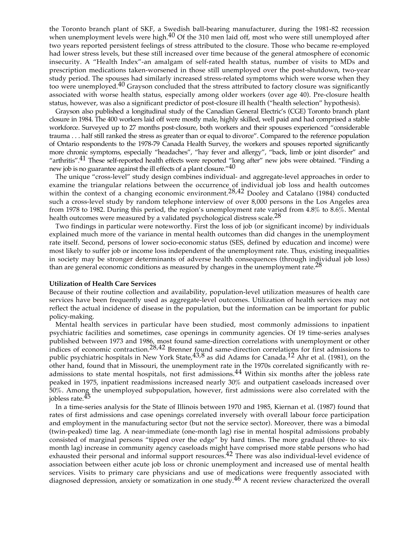the Toronto branch plant of SKF, a Swedish ball-bearing manufacturer, during the 1981-82 recession when unemployment levels were high. $40$  Of the 310 men laid off, most who were still unemployed after two years reported persistent feelings of stress attributed to the closure. Those who became re-employed had lower stress levels, but these still increased over time because of the general atmosphere of economic insecurity. A "Health Index"-an amalgam of self-rated health status, number of visits to MDs and prescription medications taken-worsened in those still unemployed over the post-shutdown, two-year study period. The spouses had similarly increased stress-related symptoms which were worse when they too were unemployed.<sup>40</sup> Grayson concluded that the stress attributed to factory closure was significantly associated with worse health status, especially among older workers (over age 40). Pre-closure health status, however, was also a significant predictor of post-closure ill health ("health selection" hypothesis).

Grayson also published a longitudinal study of the Canadian General Electric's (CGE) Toronto branch plant closure in 1984. The 400 workers laid off were mostly male, highly skilled, well paid and had comprised a stable workforce. Surveyed up to 27 months post-closure, both workers and their spouses experienced "considerable trauma . . . half still ranked the stress as greater than or equal to divorce". Compared to the reference population of Ontario respondents to the 1978-79 Canada Health Survey, the workers and spouses reported significantly more chronic symptoms, especially "headaches", "hay fever and allergy", "back, limb or joint disorder" and "arthritis".41 These self-reported health effects were reported "long after" new jobs were obtained. "Finding a new job is no guarantee against the ill effects of a plant closure."<sup>40</sup>

The unique "cross-level" study design combines individual- and aggregate-level approaches in order to examine the triangular relations between the occurrence of individual job loss and health outcomes within the context of a changing economic environment.<sup>28,42</sup> Dooley and Catalano (1984) conducted such a cross-level study by random telephone interview of over 8,000 persons in the Los Angeles area from 1978 to 1982. During this period, the region's unemployment rate varied from 4.8% to 8.6%. Mental health outcomes were measured by a validated psychological distress scale.<sup>28</sup>

Two findings in particular were noteworthy. First the loss of job (or significant income) by individuals explained much more of the variance in mental health outcomes than did changes in the unemployment rate itself. Second, persons of lower socio-economic status (SES, defined by education and income) were most likely to suffer job or income loss independent of the unemployment rate. Thus, existing inequalities in society may be stronger determinants of adverse health consequences (through individual job loss) than are general economic conditions as measured by changes in the unemployment rate.<sup>28</sup>

#### **Utilization of Health Care Services**

Because of their routine collection and availability, population-level utilization measures of health care services have been frequently used as aggregate-level outcomes. Utilization of health services may not reflect the actual incidence of disease in the population, but the information can be important for public policy-making.

Mental health services in particular have been studied, most commonly admissions to inpatient psychiatric facilities and sometimes, case openings in community agencies. Of 19 time-series analyses published between 1973 and 1986, most found same-direction correlations with unemployment or other indices of economic contraction.<sup>28,42</sup> Brenner found same-direction correlations for first admissions to public psychiatric hospitals in New York State,  $43,8$  as did Adams for Canada.<sup>12</sup> Ahr et al. (1981), on the other hand, found that in Missouri, the unemployment rate in the 1970s correlated significantly with readmissions to state mental hospitals, not first admissions.<sup>44</sup> Within six months after the jobless rate peaked in 1975, inpatient readmissions increased nearly 30% and outpatient caseloads increased over 50%. Among the unemployed subpopulation, however, first admissions were also correlated with the jobless rate.45

In a time-series analysis for the State of Illinois between 1970 and 1985, Kiernan et al. (1987) found that rates of first admissions and case openings correlated inversely with overall labour force participation and employment in the manufacturing sector (but not the service sector). Moreover, there was a bimodal (twin-peaked) time lag. A near-immediate (one-month lag) rise in mental hospital admissions probably consisted of marginal persons "tipped over the edge" by hard times. The more gradual (three- to sixmonth lag) increase in community agency caseloads might have comprised more stable persons who had exhausted their personal and informal support resources.<sup>42</sup> There was also individual-level evidence of association between either acute job loss or chronic unemployment and increased use of mental health services. Visits to primary care physicians and use of medications were frequently associated with diagnosed depression, anxiety or somatization in one study.46 A recent review characterized the overall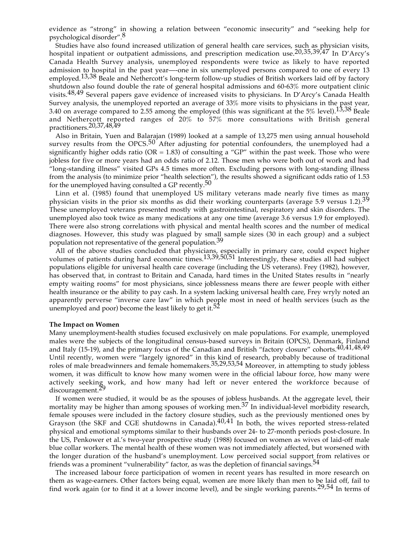evidence as "strong" in showing a relation between "economic insecurity" and "seeking help for psychological disorder".8

Studies have also found increased utilization of general health care services, such as physician visits, hospital inpatient or outpatient admissions, and prescription medication use.<sup>20,35,39,47</sup> In D'Arcv's Canada Health Survey analysis, unemployed respondents were twice as likely to have reported admission to hospital in the past year—-one in six unemployed persons compared to one of every 13 employed.<sup>13,38</sup> Beale and Nethercott's long-term follow-up studies of British workers laid off by factory shutdown also found double the rate of general hospital admissions and 60-63% more outpatient clinic visits.48,49 Several papers gave evidence of increased visits to physicians. In D'Arcy's Canada Health Survey analysis, the unemployed reported an average of 33% more visits to physicians in the past year, 3.40 on average compared to 2.55 among the employed (this was significant at the  $5\%$  level).<sup>13,38</sup> Beale and Nethercott reported ranges of 20% to 57% more consultations with British general practitioners.20,37,48,49

Also in Britain, Yuen and Balarajan (1989) looked at a sample of 13,275 men using annual household survey results from the OPCS.<sup>50</sup> After adjusting for potential confounders, the unemployed had a significantly higher odds ratio ( $OR = 1.83$ ) of consulting a " $GP$ " within the past week. Those who were jobless for five or more years had an odds ratio of 2.12. Those men who were both out of work and had "long-standing illness" visited GPs 4.5 times more often. Excluding persons with long-standing illness from the analysis (to minimize prior "health selection"), the results showed a significant odds ratio of 1.53 for the unemployed having consulted a GP recently.<sup>50</sup>

Linn et al. (1985) found that unemployed US military veterans made nearly five times as many physician visits in the prior six months as did their working counterparts (average 5.9 versus 1.2).39 These unemployed veterans presented mostly with gastrointestinal, respiratory and skin disorders. The unemployed also took twice as many medications at any one time (average 3.6 versus 1.9 for employed). There were also strong correlations with physical and mental health scores and the number of medical diagnoses. However, this study was plagued by small sample sizes (30 in each group) and a subject population not representative of the general population.<sup>39</sup>

All of the above studies concluded that physicians, especially in primary care, could expect higher volumes of patients during hard economic times.13,39,50,51 Interestingly, these studies all had subject populations eligible for universal health care coverage (including the US veterans). Frey (1982), however, has observed that, in contrast to Britain and Canada, hard times in the United States results in "nearly empty waiting rooms" for most physicians, since joblessness means there are fewer people with either health insurance or the ability to pay cash. In a system lacking universal health care, Frey wryly noted an apparently perverse "inverse care law" in which people most in need of health services (such as the unemployed and poor) become the least likely to get it.<sup>52</sup>

#### **The Impact on Women**

Many unemployment-health studies focused exclusively on male populations. For example, unemployed males were the subjects of the longitudinal census-based surveys in Britain (OPCS), Denmark, Finland and Italy (15-19), and the primary focus of the Canadian and British "factory closure" cohorts.<sup>40,41,48,49</sup> Until recently, women were "largely ignored" in this kind of research, probably because of traditional roles of male breadwinners and female homemakers.35,29,53,54 Moreover, in attempting to study jobless women, it was difficult to know how many women were in the official labour force, how many were actively seeking work, and how many had left or never entered the workforce because of discouragement.<sup>29</sup>

If women were studied, it would be as the spouses of jobless husbands. At the aggregate level, their mortality may be higher than among spouses of working men.<sup>37</sup> In individual-level morbidity research, female spouses were included in the factory closure studies, such as the previously mentioned ones by Grayson (the SKF and CGE shutdowns in Canada).40,41 In both, the wives reported stress-related physical and emotional symptoms similar to their husbands over 24- to 27-month periods post-closure. In the US, Penkower et al.'s two-year prospective study (1988) focused on women as wives of laid-off male blue collar workers. The mental health of these women was not immediately affected, but worsened with the longer duration of the husband's unemployment. Low perceived social support from relatives or friends was a prominent "vulnerability" factor, as was the depletion of financial savings.  $54$ 

The increased labour force participation of women in recent years has resulted in more research on them as wage-earners. Other factors being equal, women are more likely than men to be laid off, fail to find work again (or to find it at a lower income level), and be single working parents.29,54 In terms of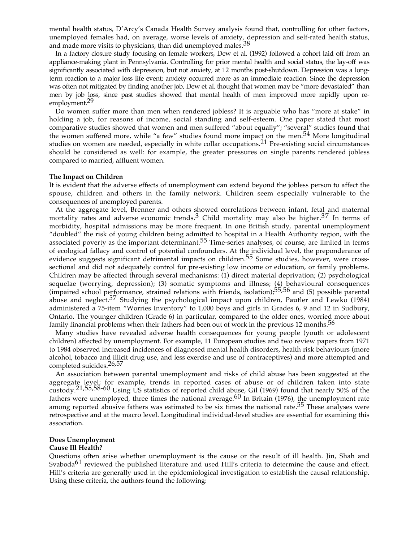mental health status, D'Arcy's Canada Health Survey analysis found that, controlling for other factors, unemployed females had, on average, worse levels of anxiety, depression and self-rated health status, and made more visits to physicians, than did unemployed males.<sup>38</sup>

In a factory closure study focusing on female workers, Dew et al. (1992) followed a cohort laid off from an appliance-making plant in Pennsylvania. Controlling for prior mental health and social status, the lay-off was significantly associated with depression, but not anxiety, at 12 months post-shutdown. Depression was a longterm reaction to a major loss life event; anxiety occurred more as an immediate reaction. Since the depression was often not mitigated by finding another job, Dew et al. thought that women may be "more devastated" than men by job loss, since past studies showed that mental health of men improved more rapidly upon reemployment.<sup>29</sup>

Do women suffer more than men when rendered jobless? It is arguable who has "more at stake" in holding a job, for reasons of income, social standing and self-esteem. One paper stated that most comparative studies showed that women and men suffered "about equally"; "several" studies found that the women suffered more, while "a few" studies found more impact on the men.54 More longitudinal studies on women are needed, especially in white collar occupations.21 Pre-existing social circumstances should be considered as well: for example, the greater pressures on single parents rendered jobless compared to married, affluent women.

#### **The Impact on Children**

It is evident that the adverse effects of unemployment can extend beyond the jobless person to affect the spouse, children and others in the family network. Children seem especially vulnerable to the consequences of unemployed parents.

At the aggregate level, Brenner and others showed correlations between infant, fetal and maternal mortality rates and adverse economic trends.<sup>3</sup> Child mortality may also be higher.<sup>37</sup> In terms of morbidity, hospital admissions may be more frequent. In one British study, parental unemployment "doubled" the risk of young children being admitted to hospital in a Health Authority region, with the associated poverty as the important determinant.<sup>55</sup> Time-series analyses, of course, are limited in terms of ecological fallacy and control of potential confounders. At the individual level, the preponderance of evidence suggests significant detrimental impacts on children.<sup>55</sup> Some studies, however, were crosssectional and did not adequately control for pre-existing low income or education, or family problems. Children may be affected through several mechanisms: (1) direct material deprivation; (2) psychological sequelae (worrying, depression); (3) somatic symptoms and illness; (4) behavioural consequences (impaired school performance, strained relations with friends, isolation); $\frac{55}{56}$  and (5) possible parental abuse and neglect.<sup>57</sup> Studying the psychological impact upon children, Pautler and Lewko (1984) administered a 75-item "Worries Inventory" to 1,000 boys and girls in Grades 6, 9 and 12 in Sudbury, Ontario. The younger children (Grade 6) in particular, compared to the older ones, worried more about family financial problems when their fathers had been out of work in the previous 12 months.<sup>56</sup>

Many studies have revealed adverse health consequences for young people (youth or adolescent children) affected by unemployment. For example, 11 European studies and two review papers from 1971 to 1984 observed increased incidences of diagnosed mental health disorders, health risk behaviours (more alcohol, tobacco and illicit drug use, and less exercise and use of contraceptives) and more attempted and completed suicides.26,57

An association between parental unemployment and risks of child abuse has been suggested at the aggregate level; for example, trends in reported cases of abuse or of children taken into state custody.21,55,58-60 Using US statistics of reported child abuse, Gil (1969) found that nearly 50% of the fathers were unemployed, three times the national average.<sup>60</sup> In Britain (1976), the unemployment rate among reported abusive fathers was estimated to be six times the national rate.<sup>55</sup> These analyses were retrospective and at the macro level. Longitudinal individual-level studies are essential for examining this association.

### **Does Unemployment**

#### **Cause Ill Health?**

Questions often arise whether unemployment is the cause or the result of ill health. Jin, Shah and Svaboda<sup>61</sup> reviewed the published literature and used Hill's criteria to determine the cause and effect. Hill's criteria are generally used in the epidemiological investigation to establish the causal relationship. Using these criteria, the authors found the following: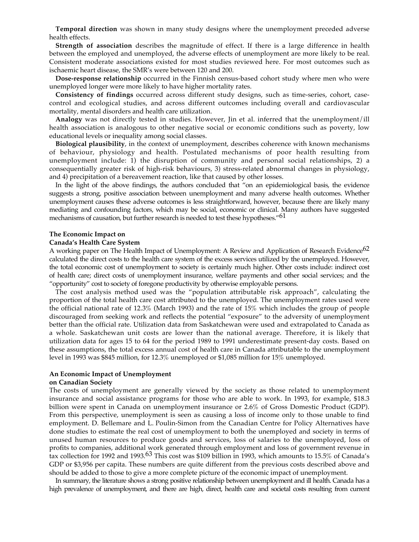**Temporal direction** was shown in many study designs where the unemployment preceded adverse health effects.

**Strength of association** describes the magnitude of effect. If there is a large difference in health between the employed and unemployed, the adverse effects of unemployment are more likely to be real. Consistent moderate associations existed for most studies reviewed here. For most outcomes such as ischaemic heart disease, the SMR's were between 120 and 200.

**Dose-response relationship** occurred in the Finnish census-based cohort study where men who were unemployed longer were more likely to have higher mortality rates.

**Consistency of findings** occurred across different study designs, such as time-series, cohort, casecontrol and ecological studies, and across different outcomes including overall and cardiovascular mortality, mental disorders and health care utilization.

**Analogy** was not directly tested in studies. However, Jin et al. inferred that the unemployment/ill health association is analogous to other negative social or economic conditions such as poverty, low educational levels or inequality among social classes.

**Biological plausibility**, in the context of unemployment, describes coherence with known mechanisms of behaviour, physiology and health. Postulated mechanisms of poor health resulting from unemployment include: 1) the disruption of community and personal social relationships, 2) a consequentially greater risk of high-risk behaviours, 3) stress-related abnormal changes in physiology, and 4) precipitation of a bereavement reaction, like that caused by other losses.

In the light of the above findings, the authors concluded that "on an epidemiological basis, the evidence suggests a strong, positive association between unemployment and many adverse health outcomes. Whether unemployment causes these adverse outcomes is less straightforward, however, because there are likely many mediating and confounding factors, which may be social, economic or clinical. Many authors have suggested mechanisms of causation, but further research is needed to test these hypotheses."<sup>61</sup>

#### **The Economic Impact on**

#### **Canada's Health Care System**

A working paper on The Health Impact of Unemployment: A Review and Application of Research Evidence<sup>62</sup> calculated the direct costs to the health care system of the excess services utilized by the unemployed. However, the total economic cost of unemployment to society is certainly much higher. Other costs include: indirect cost of health care; direct costs of unemployment insurance, welfare payments and other social services; and the "opportunity" cost to society of foregone productivity by otherwise employable persons.

The cost analysis method used was the "population attributable risk approach", calculating the proportion of the total health care cost attributed to the unemployed. The unemployment rates used were the official national rate of 12.3% (March 1993) and the rate of 15% which includes the group of people discouraged from seeking work and reflects the potential "exposure" to the adversity of unemployment better than the official rate. Utilization data from Saskatchewan were used and extrapolated to Canada as a whole. Saskatchewan unit costs are lower than the national average. Therefore, it is likely that utilization data for ages 15 to 64 for the period 1989 to 1991 underestimate present-day costs. Based on these assumptions, the total excess annual cost of health care in Canada attributable to the unemployment level in 1993 was \$845 million, for 12.3% unemployed or \$1,085 million for 15% unemployed.

## **An Economic Impact of Unemployment**

#### **on Canadian Society**

The costs of unemployment are generally viewed by the society as those related to unemployment insurance and social assistance programs for those who are able to work. In 1993, for example, \$18.3 billion were spent in Canada on unemployment insurance or 2.6% of Gross Domestic Product (GDP). From this perspective, unemployment is seen as causing a loss of income only to those unable to find employment. D. Bellemare and L. Poulin-Simon from the Canadian Centre for Policy Alternatives have done studies to estimate the real cost of unemployment to both the unemployed and society in terms of unused human resources to produce goods and services, loss of salaries to the unemployed, loss of profits to companies, additional work generated through employment and loss of government revenue in tax collection for 1992 and 1993.<sup>63</sup> This cost was \$109 billion in 1993, which amounts to 15.5% of Canada's GDP or \$3,956 per capita. These numbers are quite different from the previous costs described above and should be added to those to give a more complete picture of the economic impact of unemployment.

In summary, the literature shows a strong positive relationship between unemployment and ill health. Canada has a high prevalence of unemployment, and there are high, direct, health care and societal costs resulting from current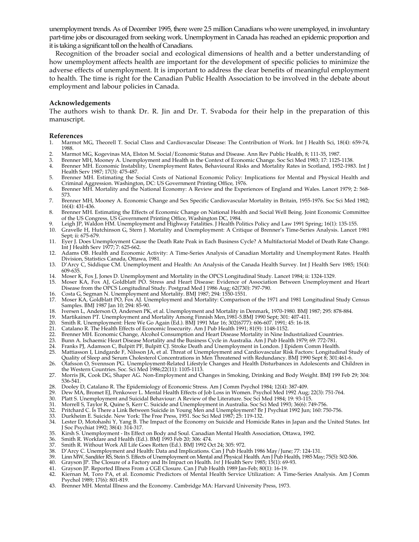unemployment trends. As of December 1995, there were 2.5 million Canadians who were unemployed, in involuntary part-time jobs or discouraged from seeking work. Unemployment in Canada has reached an epidemic proportion and it is taking a significant toll on the health of Canadians.

Recognition of the broader social and ecological dimensions of health and a better understanding of how unemployment affects health are important for the development of specific policies to minimize the adverse effects of unemployment. It is important to address the clear benefits of meaningful employment to health. The time is right for the Canadian Public Health Association to be involved in the debate about employment and labour policies in Canada.

#### **Acknowledgements**

The authors wish to thank Dr. R. Jin and Dr. T. Svaboda for their help in the preparation of this manuscript.

#### **References**

- 1. Marmot MG, Theorell T. Social Class and Cardiovascular Disease: The Contribution of Work. Int J Health Sci, 18(4): 659-74, 1988.
- 2. Marmot MG, Kogevinas MA, Elston M. Social/Economic Status and Disease. Ann Rev Public Health, 8; 111-35, 1987.<br>Brenner MH, Mooney A, Unemployment and Health in the Context of Economic Change, Soc Sci Med 1983: 17: 1125-
- 3. Brenner MH, Mooney A. Unemployment and Health in the Context of Economic Change. Soc Sci Med 1983; 17: 1125-1138.
- 4. Brenner MH. Economic Instability, Unemployment Rates, Behavioural Risks and Mortality Rates in Scotland, 1952-1983. Int J Health Serv 1987; 17(3): 475-487.
- 5. Brenner MH. Estimating the Social Costs of National Economic Policy: Implications for Mental and Physical Health and Criminal Aggression. Washington, DC: US Government Printing Office, 1976.
- 6. Brenner MH. Mortality and the National Economy: A Review and the Experiences of England and Wales. Lancet 1979; 2: 568- 573.
- 7. Brenner MH, Mooney A. Economic Change and Sex Specific Cardiovascular Mortality in Britain, 1955-1976. Soc Sci Med 1982; 16(4): 431-436.
- 8. Brenner MH. Estimating the Effects of Economic Change on National Health and Social Well Being. Joint Economic Committee of the US Congress, US Government Printing Office, Washington DC, 1984.
- 9. Leigh JP, Waldon HM. Unemployment and Highway Fatalities. J Health Politics Policy and Law 1991 Spring; 16(1): 135-155. 10. Gravelle H, Hutchinson G, Stern J. Mortality and Unemployment: A Critique of Brenner's Time-Series Analysis. Lancet 1981
- Sept; ii: 675-679.
- 11. Eyer J. Does Unemployment Cause the Death Rate Peak in Each Business Cycle? A Multifactorial Model of Death Rate Change. Int J Health Serv 1977; 7: 625-662.
- 12. Adams OB. Health and Economic Activity: A Time-Series Analysis of Canadian Mortality and Unemployment Rates. Health Division, Statistics Canada, Ottawa, 1981.
- 13. D'Arcy C, Siddique CM. Unemployment and Health: An Analysis of the Canada Health Survey. Int J Health Serv 1985; 15(4): 609-635.
- 14. Moser K, Fox J, Jones D. Unemployment and Mortality in the OPCS Longitudinal Study. Lancet 1984; ii: 1324-1329.
- Moser KA, Fox AJ, Goldblatt PO. Stress and Heart Disease: Evidence of Association Between Unemployment and Heart Disease from the OPCS Longitudinal Study. Postgrad Med J 1986 Aug; 62(730): 797-790.
- 16. Costa G, Segman N. Unemployment and Mortality. BMJ 1987; 294: 1550-1551.
- 17. Moser KA, Goldblatt PO, Fox AJ. Unemployment and Mortality: Comparison of the 1971 and 1981 Longitudinal Study Census Samples. BMJ 1987 Jan 10; 294: 85-90.
- 18. Iversen L, Anderson O, Andersen PK, et al. Unemployment and Mortality in Denmark, 1970-1980. BMJ 1987; 295: 878-884.
- 19. Martikainen PT. Unemployment and Mortality Among Finnish Men,1981-5.BMJ 1990 Sept; 301: 407-411.
- 20. Smith R. Unemployment: Here We Go Again (Ed.). BMJ 1991 Mar 16; 302(6777): 606-607. 1991; 45: 16-18.
- 21. Catalano R. The Health Effects of Economic Insecurity. Am J Pub Health 1991; 81(9): 1148-1152.
- 22. Brenner MH. Economic Change, Alcohol Consumption and Heart Disease Mortality in Nine Industrialized Countries.
- 
- 23. Bunn A. Ischaemic Heart Disease Mortality and the Business Cycle in Australia. Am J Pub Health 1979; 69: 772-781. 24. Franks PJ, Adamson C, Bulpitt PF, Bulpitt CJ. Stroke Death and Unemployment in London. J Epidem Comm Health.
- 25. Mattiasson I, Lindgarde F, Nilsson JA, et al. Threat of Unemployment and Cardiovascular Risk Factors: Longitudinal Study of Quality of Sleep and Serum Cholesterol Concentrations in Men Threatened with Redundancy. BMJ 1990 Sept 8; 301:461-6.
- 26. Olafsson O, Svennson PG. Unemployment-Related Lifestyle Changes and Health Disturbances in Adolescents and Children in the Western Countries. Soc. Sci Med 1986;22(11): 1105-1113.
- 27. Morris JK, Cook DG, Shaper AG. Non-Employment and Changes in Smoking, Drinking and Body Weight. BMJ 199 Feb 29; 304: 536-541.
- 28. Dooley D, Catalano R. The Epidemiology of Economic Stress. Am J Comm Psychol 1984; 12(4): 387-409.<br>29. Dew MA. Bromet EL Penkower L. Mental Health Effects of Job Loss in Women. Psychol Med 1992 Aug
- 29. Dew MA, Bromet EJ, Penkower L. Mental Health Effects of Job Loss in Women. Psychol Med 1992 Aug; 22(3): 751-764.<br>30. Platt S. Unemployment and Suicidal Behaviour: A Review of the Literature. Soc Sci Med 1984; 19: 93-11
- 30. Platt S. Unemployment and Suicidal Behaviour: A Review of the Literature. Soc Sci Med 1984; 19: 93-115.
- 31. Morrell S, Taylor R, Quine S, Kerr C. Suicide and Unemployment in Australia. Soc Sci Med 1993; 36(6): 749-756.
- 32. Pritchard C. Is There a Link Between Suicide in Young Men and Unemployment? Br J Psychiat 1992 Jun; 160: 750-756.
- 33. Durkheim E. Suicide. New York: The Free Press, 1951. Soc Sci Med 1987; 25: 119-132.
- 34. Lester D, Motohashi Y, Yang B. The Impact of the Economy on Suicide and Homicide Rates in Japan and the United States. Int J Soc Psychiat 1992; 38(4): 314-317.
- 35. Kirsh S. Unemployment Its Effect on Body and Soul. Canadian Mental Health Association, Ottawa, 1992.
- 36. Smith R. Workfare and Health (Ed.). BMJ 1993 Feb 20; 306: 474.
- 37. Smith R. Without Work All Life Goes Rotten (Ed.). BMJ 1992 Oct 24; 305: 972.
- 38. D'Arcy C. Unemployment and Health: Data and Implications. Can J Pub Health 1986 May/June; 77: 124-131.
- 39. Linn MW, Sandifer RS, Stein S. Effects of Unemployment on Mental and Physical Health. Am J Pub Health, 1985 May; 75(5): 502-506.<br>40. Grayson JP. The Closure of a Factory and Its Impact on Health. *Int* J Health Serv 19
- 40. Grayson JP. The Closure of a Factory and Its Impact on Health. *Int* J Health Serv 1985; 15(1): 69-93.
- 41. Grayson JP. Reported Illness From a CGE Closure. Can J Pub Health 1989 Jan-Feb; 80(1): 16-19.
- 42. Kiernan M, Toro PA, et al. Economic Predictors of Mental Health Service Utilization: A Time-Series Analysis. Am J Comm Psychol 1989; 17(6): 801-819.
- 43. Brenner MH. Mental Illness and the Economy. Cambridge MA: Harvard University Press, 1973.